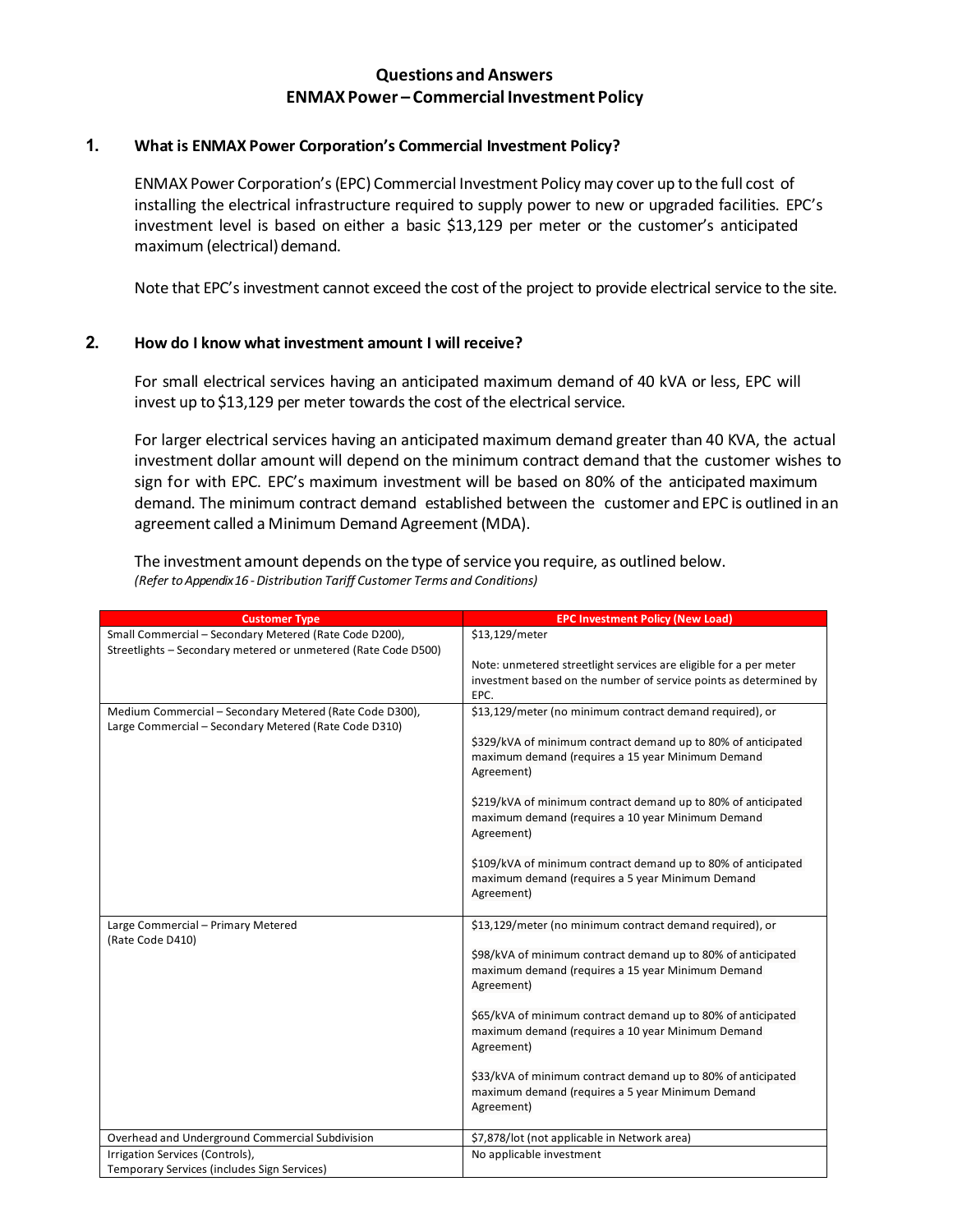# **Questions and Answers ENMAX Power – Commercial Investment Policy**

## **1. What is ENMAX Power Corporation's Commercial Investment Policy?**

ENMAX Power Corporation's(EPC) Commercial Investment Policy may cover up to the full cost of installing the electrical infrastructure required to supply power to new or upgraded facilities. EPC's investment level is based on either a basic \$13,129 per meter or the customer's anticipated maximum (electrical) demand.

Note that EPC's investment cannot exceed the cost of the project to provide electrical service to the site.

## **2. How do I know what investment amount I will receive?**

For small electrical services having an anticipated maximum demand of 40 kVA or less, EPC will invest up to \$13,129 per meter towards the cost of the electrical service.

For larger electrical services having an anticipated maximum demand greater than 40 KVA, the actual investment dollar amount will depend on the minimum contract demand that the customer wishes to sign for with EPC. EPC's maximum investment will be based on 80% of the anticipated maximum demand. The minimum contract demand established between the customer and EPC is outlined in an agreement called a Minimum Demand Agreement (MDA).

The investment amount depends on the type of service you require, as outlined below. *(Refer toAppendix 16 -Distribution Tariff Customer Terms and Conditions)*

| <b>Customer Type</b>                                                                                             | <b>EPC Investment Policy (New Load)</b>                                                                                                                                                                                                                                                                                                                                                           |
|------------------------------------------------------------------------------------------------------------------|---------------------------------------------------------------------------------------------------------------------------------------------------------------------------------------------------------------------------------------------------------------------------------------------------------------------------------------------------------------------------------------------------|
| Small Commercial - Secondary Metered (Rate Code D200),                                                           | \$13,129/meter                                                                                                                                                                                                                                                                                                                                                                                    |
| Streetlights - Secondary metered or unmetered (Rate Code D500)                                                   |                                                                                                                                                                                                                                                                                                                                                                                                   |
|                                                                                                                  | Note: unmetered streetlight services are eligible for a per meter                                                                                                                                                                                                                                                                                                                                 |
|                                                                                                                  | investment based on the number of service points as determined by<br>EPC.                                                                                                                                                                                                                                                                                                                         |
| Medium Commercial - Secondary Metered (Rate Code D300),<br>Large Commercial - Secondary Metered (Rate Code D310) | \$13,129/meter (no minimum contract demand required), or<br>\$329/kVA of minimum contract demand up to 80% of anticipated<br>maximum demand (requires a 15 year Minimum Demand<br>Agreement)<br>\$219/kVA of minimum contract demand up to 80% of anticipated<br>maximum demand (requires a 10 year Minimum Demand<br>Agreement)<br>\$109/kVA of minimum contract demand up to 80% of anticipated |
|                                                                                                                  | maximum demand (requires a 5 year Minimum Demand<br>Agreement)                                                                                                                                                                                                                                                                                                                                    |
| Large Commercial - Primary Metered<br>(Rate Code D410)                                                           | \$13,129/meter (no minimum contract demand required), or                                                                                                                                                                                                                                                                                                                                          |
|                                                                                                                  | \$98/kVA of minimum contract demand up to 80% of anticipated<br>maximum demand (requires a 15 year Minimum Demand<br>Agreement)                                                                                                                                                                                                                                                                   |
|                                                                                                                  | \$65/kVA of minimum contract demand up to 80% of anticipated<br>maximum demand (requires a 10 year Minimum Demand<br>Agreement)                                                                                                                                                                                                                                                                   |
|                                                                                                                  | \$33/kVA of minimum contract demand up to 80% of anticipated<br>maximum demand (requires a 5 year Minimum Demand<br>Agreement)                                                                                                                                                                                                                                                                    |
| Overhead and Underground Commercial Subdivision                                                                  | \$7,878/lot (not applicable in Network area)                                                                                                                                                                                                                                                                                                                                                      |
| Irrigation Services (Controls),<br>Temporary Services (includes Sign Services)                                   | No applicable investment                                                                                                                                                                                                                                                                                                                                                                          |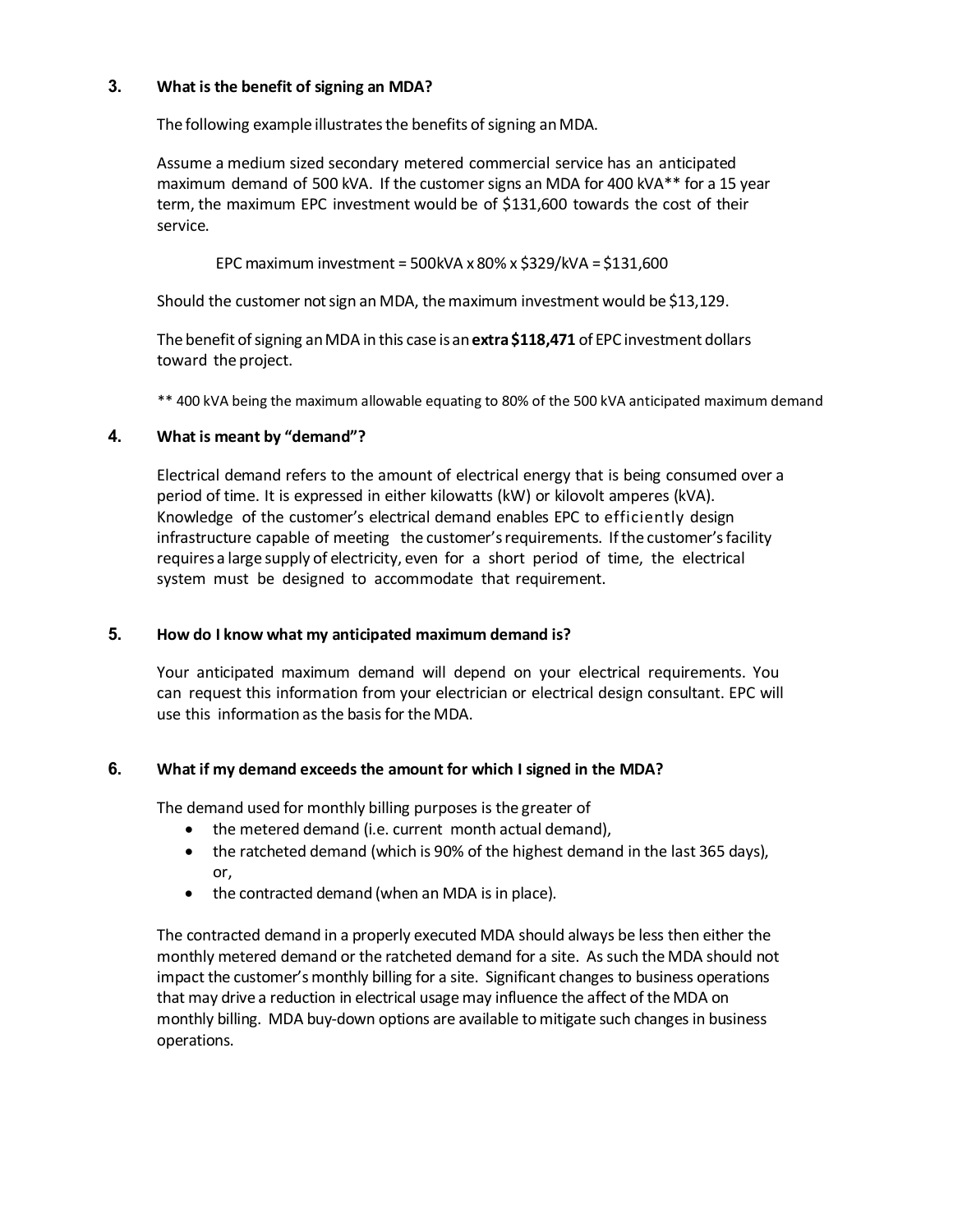# **3. What is the benefit of signing an MDA?**

The following example illustrates the benefits of signing an MDA.

Assume a medium sized secondary metered commercial service has an anticipated maximum demand of 500 kVA. If the customer signs an MDA for 400 kVA\*\* for a 15 year term, the maximum EPC investment would be of \$131,600 towards the cost of their service.

EPC maximum investment = 500kVA x 80% x \$329/kVA = \$131,600

Should the customer not sign an MDA, the maximum investment would be \$13,129.

The benefit ofsigning anMDA in this case is an**extra\$118,471** of EPC investment dollars toward the project.

\*\* 400 kVA being the maximum allowable equating to 80% of the 500 kVA anticipated maximum demand

# **4. What is meant by "demand"?**

Electrical demand refers to the amount of electrical energy that is being consumed over a period of time. It is expressed in either kilowatts (kW) or kilovolt amperes (kVA). Knowledge of the customer's electrical demand enables EPC to efficiently design infrastructure capable of meeting the customer'srequirements. Ifthe customer'sfacility requires a large supply of electricity, even for a short period of time, the electrical system must be designed to accommodate that requirement.

## **5. How do I know what my anticipated maximum demand is?**

Your anticipated maximum demand will depend on your electrical requirements. You can request this information from your electrician or electrical design consultant. EPC will use this information asthe basisfor the MDA.

# **6. What if my demand exceeds the amount for which I signed in the MDA?**

The demand used for monthly billing purposes is the greater of

- the metered demand (i.e. current month actual demand),
- the ratcheted demand (which is 90% of the highest demand in the last 365 days), or,
- the contracted demand (when an MDA is in place).

The contracted demand in a properly executed MDA should always be less then either the monthly metered demand or the ratcheted demand for a site. As such the MDA should not impact the customer's monthly billing for a site. Significant changes to business operations that may drive a reduction in electrical usagemay influence the affect of the MDA on monthly billing. MDA buy-down options are available to mitigate such changes in business operations.